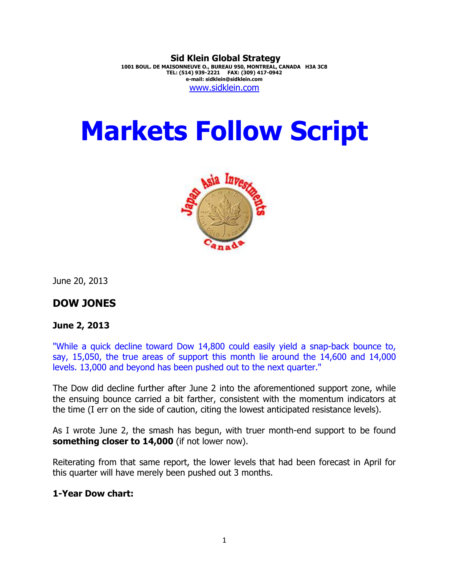**Sid Klein Global Strategy 1001 BOUL. DE MAISONNEUVE O., BUREAU 950, MONTREAL, CANADA H3A 3C8 TEL: (514) 939-2221 FAX: (309) 417-0942 e-mail: sidklein@sidklein.com**  www.sidklein.com

# **Markets Follow Script**



June 20, 2013

### **DOW JONES**

#### **June 2, 2013**

"While a quick decline toward Dow 14,800 could easily yield a snap-back bounce to, say, 15,050, the true areas of support this month lie around the 14,600 and 14,000 levels. 13,000 and beyond has been pushed out to the next quarter."

The Dow did decline further after June 2 into the aforementioned support zone, while the ensuing bounce carried a bit farther, consistent with the momentum indicators at the time (I err on the side of caution, citing the lowest anticipated resistance levels).

As I wrote June 2, the smash has begun, with truer month-end support to be found **something closer to 14,000** (if not lower now).

Reiterating from that same report, the lower levels that had been forecast in April for this quarter will have merely been pushed out 3 months.

#### **1-Year Dow chart:**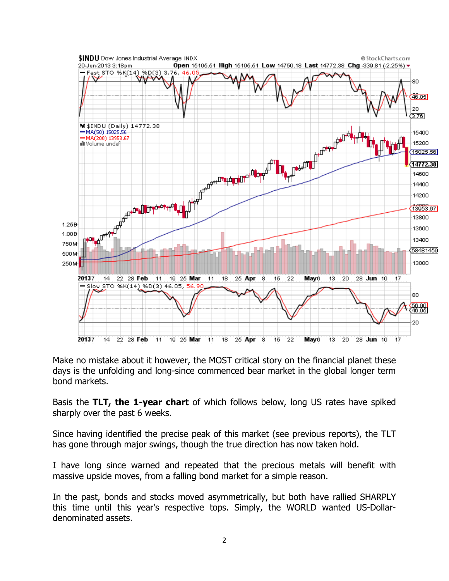

Make no mistake about it however, the MOST critical story on the financial planet these days is the unfolding and long-since commenced bear market in the global longer term bond markets.

Basis the **TLT, the 1-year chart** of which follows below, long US rates have spiked sharply over the past 6 weeks.

Since having identified the precise peak of this market (see previous reports), the TLT has gone through major swings, though the true direction has now taken hold.

I have long since warned and repeated that the precious metals will benefit with massive upside moves, from a falling bond market for a simple reason.

In the past, bonds and stocks moved asymmetrically, but both have rallied SHARPLY this time until this year's respective tops. Simply, the WORLD wanted US-Dollardenominated assets.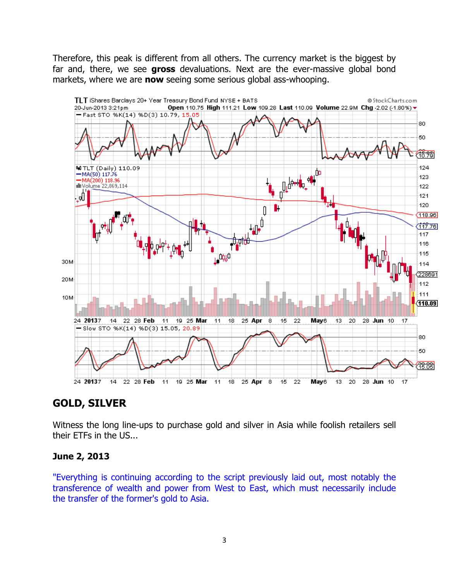Therefore, this peak is different from all others. The currency market is the biggest by far and, there, we see **gross** devaluations. Next are the ever-massive global bond markets, where we are **now** seeing some serious global ass-whooping.



## **GOLD, SILVER**

Witness the long line-ups to purchase gold and silver in Asia while foolish retailers sell their ETFs in the US...

#### **June 2, 2013**

"Everything is continuing according to the script previously laid out, most notably the transference of wealth and power from West to East, which must necessarily include the transfer of the former's gold to Asia.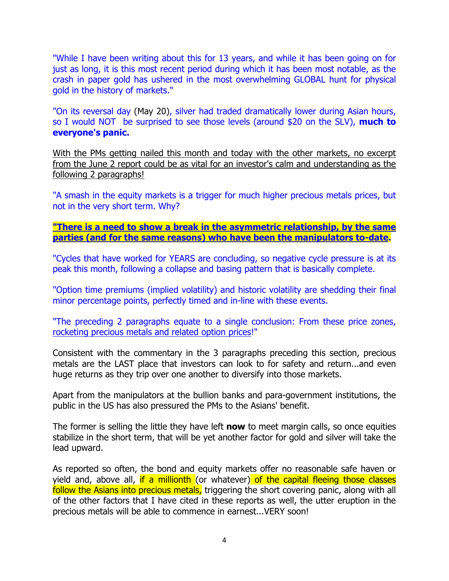"While I have been writing about this for 13 years, and while it has been going on for just as long, it is this most recent period during which it has been most notable, as the crash in paper gold has ushered in the most overwhelming GLOBAL hunt for physical gold in the history of markets."

"On its reversal day (May 20), silver had traded dramatically lower during Asian hours, so I would NOT be surprised to see those levels (around \$20 on the SLV), **much to everyone's panic.** 

With the PMs getting nailed this month and today with the other markets, no excerpt from the June 2 report could be as vital for an investor's calm and understanding as the following 2 paragraphs!

"A smash in the equity markets is a trigger for much higher precious metals prices, but not in the very short term. Why?

#### **"There is a need to show a break in the asymmetric relationship, by the same parties (and for the same reasons) who have been the manipulators to-date.**

"Cycles that have worked for YEARS are concluding, so negative cycle pressure is at its peak this month, following a collapse and basing pattern that is basically complete.

"Option time premiums (implied volatility) and historic volatility are shedding their final minor percentage points, perfectly timed and in-line with these events.

"The preceding 2 paragraphs equate to a single conclusion: From these price zones, rocketing precious metals and related option prices!"

Consistent with the commentary in the 3 paragraphs preceding this section, precious metals are the LAST place that investors can look to for safety and return...and even huge returns as they trip over one another to diversify into those markets.

Apart from the manipulators at the bullion banks and para-government institutions, the public in the US has also pressured the PMs to the Asians' benefit.

The former is selling the little they have left **now** to meet margin calls, so once equities stabilize in the short term, that will be yet another factor for gold and silver will take the lead upward.

As reported so often, the bond and equity markets offer no reasonable safe haven or yield and, above all, if a millionth (or whatever) of the capital fleeing those classes follow the Asians into precious metals, triggering the short covering panic, along with all of the other factors that I have cited in these reports as well, the utter eruption in the precious metals will be able to commence in earnest...VERY soon!